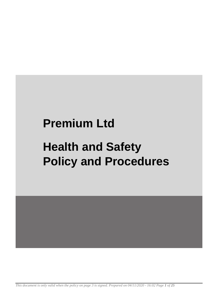# **Premium Ltd**

# **Health and Safety Policy and Procedures**

*This document is only valid when the policy on page 3 is signed. Prepared on 04/11/2020 - 16:02 Page 1 of 25*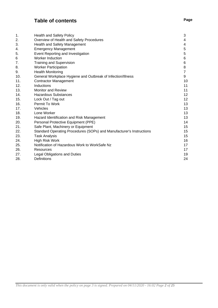# **Table of contents Page**

| 1.  | <b>Health and Safety Policy</b>                                      | 3              |
|-----|----------------------------------------------------------------------|----------------|
| 2.  | Overview of Health and Safety Procedures                             | 4              |
| 3.  | Health and Safety Management                                         | 4              |
| 4.  | <b>Emergency Management</b>                                          | 5              |
| 5.  | Event Reporting and Investigation                                    | 5              |
| 6   | <b>Worker Induction</b>                                              | 6              |
| 7.  | <b>Training and Supervision</b>                                      | 6              |
| 8.  | <b>Worker Participation</b>                                          | 8              |
| 9.  | <b>Health Monitoring</b>                                             | $\overline{7}$ |
| 10. | General Workplace Hygiene and Outbreak of Infection/Illness          | 9              |
| 11. | <b>Contractor Management</b>                                         | 10             |
| 12. | <b>Inductions</b>                                                    | 11             |
| 13. | <b>Monitor and Review</b>                                            | 11             |
| 14. | <b>Hazardous Substances</b>                                          | 12             |
| 15. | Lock Out / Tag out                                                   | 12             |
| 16. | Permit To Work                                                       | 13             |
| 17. | Vehicles                                                             | 13             |
| 18. | Lone Worker                                                          | 13             |
| 19. | Hazard Identification and Risk Management                            | 13             |
| 20. | Personal Protective Equipment (PPE)                                  | 14             |
| 21. | Safe Plant, Machinery or Equipment                                   | 15             |
| 22. | Standard Operating Procedures (SOPs) and Manufacturer's Instructions | 15             |
| 23. | <b>Task Analysis</b>                                                 | 15             |
| 24. | <b>High Risk Work</b>                                                | 16             |
| 25. | Notification of Hazardous Work to WorkSafe Nz                        | 17             |
| 26. | Resources                                                            | 17             |
| 27. | <b>Legal Obligations and Duties</b>                                  | 19             |
| 28. | <b>Definitions</b>                                                   | 24             |
|     |                                                                      |                |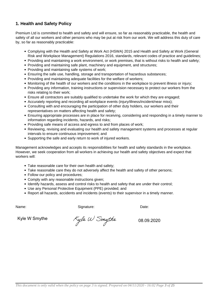# **1. Health and Safety Policy**

Premium Ltd is committed to health and safety and will ensure, so far as reasonably practicable, the health and safety of all our workers and other persons who may be put at risk from our work. We will address this duty of care by, so far as reasonably practicable:

- Complying with the Health and Safety at Work Act (HSWA) 2015 and Health and Safety at Work (General Risk and Workplace Management) Regulations 2016, standards, relevant codes of practice and guidelines;
- Providing and maintaining a work environment, or work premises, that is without risks to health and safety;
- Providing and maintaining safe plant, machinery and equipment, and structures;
- Providing and maintaining safe systems of work;
- Ensuring the safe use, handling, storage and transportation of hazardous substances;
- Providing and maintaining adequate facilities for the welfare of workers;
- Monitoring of the health of our workers and the conditions in the workplace to prevent illness or injury;
- Providing any information, training instructions or supervision necessary to protect our workers from the risks relating to their work;
- Ensure all contractors are suitably qualified to undertake the work for which they are engaged;
- Accurately reporting and recording all workplace events (injury/illness/incident/near miss);
- Consulting with and encouraging the participation of other duty holders, our workers and their representatives on matters affecting health and safety;
- Ensuring appropriate processes are in place for receiving, considering and responding in a timely manner to information regarding incidents, hazards, and risks;
- Providing safe means of access and egress to and from places of work;
- Reviewing, revising and evaluating our health and safety management systems and processes at regular intervals to ensure continuous improvement; and
- Supporting the safe and early return to work of injured workers.

Management acknowledges and accepts its responsibilities for health and safety standards in the workplace. However, we seek cooperation from all workers in achieving our health and safety objectives and expect that workers will:

- Take reasonable care for their own health and safety;
- Take reasonable care they do not adversely affect the health and safety of other persons;
- Follow our policy and procedures;
- Comply with any reasonable instructions given;
- Identify hazards, assess and control risks to health and safety that are under their control;
- Use any Personal Protective Equipment (PPE) provided; and
- Report all hazards, accidents and incidents (events) to their supervisor in a timely manner.

Name: Case of the Signature: Case of the Date: Date: Date: Date: Date: Date: Date: Date: Date: Date: Date: Date:  $\Box$ 

Kyle W Smythe  $K_y$ le  $W$  Smythe 08.09.2020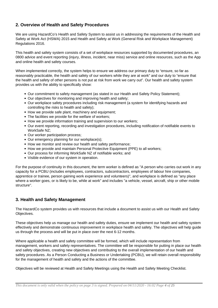# **2. Overview of Health and Safety Procedures**

We are using HazardCo's Health and Safety System to assist us in addressing the requirements of the Health and Safety at Work Act (HSWA) 2015 and Health and Safety at Work (General Risk and Workplace Management) Regulations 2016.

This health and safety system consists of a set of workplace resources supported by documented procedures, an 0800 advice and event reporting (injury, illness, incident, near miss) service and online resources, such as the App and online health and safety courses.

When implemented correctly, the system helps to ensure we address our primary duty to "ensure, so far as reasonably practicable, the health and safety of our workers while they are at work" and our duty to "ensure that the health and safety of other persons is not put at risk from work we carry out". Our health and safety system provides us with the ability to specifically show:

- Our commitment to safety management (as stated in our Health and Safety Policy Statement);
- Our objectives for monitoring and improving health and safety;
- Our workplace safety procedures including risk management (a system for identifying hazards and controlling the risks to health and safety);
- How we provide safe plant, machinery and equipment:
- The facilities we provide for the welfare of workers;
- How we provide information training and supervision to our workers;
- Our event reporting, recording and investigation procedures, including notification of notifiable events to WorkSafe NZ;
- Our worker participation process;
- Our emergency planning for our workplace(s):
- How we monitor and review our health and safety performance;
- How we provide and maintain Personal Protective Equipment (PPE) to all workers;
- Our process for informing WorkSafe NZ of notifiable works; and
- Visible evidence of our system in operation.

For the purpose of continuity in this document, the term worker is defined as "A person who carries out work in any capacity for a PCBU (includes employees, contractors, subcontractors, employees of labour hire companies, apprentice or trainee, person gaining work experience and volunteers)", and workplace is defined as "any place where a worker goes, or is likely to be, while at work" and includes "a vehicle, vessel, aircraft, ship or other mobile structure".

# **3. Health and Safety Management**

The HazardCo system provides us with resources that include a document to assist us with our Health and Safety Objectives.

These objectives help us manage our health and safety duties, ensure we implement our health and safety system effectively and demonstrate continuous improvement in workplace health and safety. The objectives will help guide us through the process and will be put in place over the next 6-12 months.

Where applicable a health and safety committee will be formed, which will include representation from management, workers and safety representatives. The committee will be responsible for putting in place our health and safety objectives, creating new objectives and contributing to the overall implementation of our health and safety procedures. As a Person Conducting a Business or Undertaking (PCBU), we will retain overall responsibility for the management of health and safety and the actions of the committee.

Objectives will be reviewed at Health and Safety Meetings using the Health and Safety Meeting Checklist.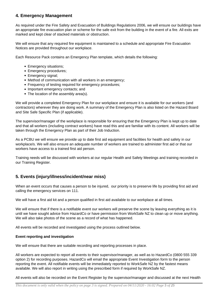# **4. Emergency Management**

As required under the Fire Safety and Evacuation of Buildings Regulations 2006, we will ensure our buildings have an appropriate fire evacuation plan or scheme for the safe exit from the building in the event of a fire. All exits are marked and kept clear of stacked materials or obstruction.

We will ensure that any required fire equipment is maintained to a schedule and appropriate Fire Evacuation Notices are provided throughout our workplace.

Each Resource Pack contains an Emergency Plan template, which details the following:

- Emergency situations;
- Emergency procedures;
- Emergency signal;
- Method of communication with all workers in an emergency;
- Frequency of testing required for emergency procedures;
- Important emergency contacts; and
- The location of the assembly area(s).

We will provide a completed Emergency Plan for our workplace and ensure it is available for our workers (and contractors) wherever they are doing work. A summary of the Emergency Plan is also listed on the Hazard Board and Site Safe Specific Plan (if applicable).

The supervisor/manager of the workplace is responsible for ensuring that the Emergency Plan is kept up to date and that all workers (including contract workers) have read this and are familiar with its content. All workers will be taken through the Emergency Plan as part of their Job Induction.

As a PCBU we will ensure we provide up to date first aid equipment and facilities for health and safety in our workplace/s. We will also ensure an adequate number of workers are trained to administer first aid or that our workers have access to a trained first aid person.

Training needs will be discussed with workers at our regular Health and Safety Meetings and training recorded in our Training Register.

# **5. Events (injury/illness/incident/near miss)**

When an event occurs that causes a person to be injured, our priority is to preserve life by providing first aid and calling the emergency services on 111.

We will have a first aid kit and a person qualified in first aid available to our workplace at all times.

We will ensure that if there is a notifiable event our workers will preserve the scene by leaving everything as it is until we have sought advice from HazardCo or have permission from WorkSafe NZ to clean up or move anything. We will also take photos of the scene as a record of what has happened.

All events will be recorded and investigated using the process outlined below.

## **Event reporting and investigation**

We will ensure that there are suitable recording and reporting processes in place.

All workers are expected to report all events to their supervisor/manager, as well as to HazardCo (0800 555 339 option 2) for recording purposes. HazardCo will email the appropriate Event Investigation form to the person reporting the event. All notifiable events will be immediately reported to WorkSafe NZ by the fastest means available. We will also report in writing using the prescribed form if required by WorkSafe NZ.

All events will also be recorded on the Event Register by the supervisor/manager and discussed at the next Health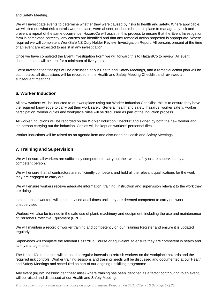and Safety Meeting.

We will investigate events to determine whether they were caused by risks to health and safety. Where applicable, we will find out what risk controls were in place, were absent, or should be put in place to manage any risk and prevent a repeat of the same occurrence. HazardCo will assist in this process to ensure that the Event Investigation form is completed correctly, any causes are identified and that any remedial action proposed is appropriate. Where required we will complete a WorkSafe NZ Duty Holder Review Investigation Report. All persons present at the time of an event are expected to assist in any investigation.

Once we have completed the Event Investigation Form we will forward this to HazardCo to review. All event documentation will be kept for a minimum of five years.

Event Investigation findings will be discussed at our Health and Safety Meetings, and a remedial action plan will be put in place, all discussions will be recorded in the Health and Safety Meeting Checklist and reviewed at subsequent meetings.

# **6. Worker Induction**

All new workers will be inducted to our workplace using our Worker Induction Checklist, this is to ensure they have the required knowledge to carry out their work safely. General health and safety, hazards, worker safety, worker participation, worker duties and workplace rules will be discussed as part of the induction process.

All worker inductions will be recorded on the Worker Induction Checklist and signed by both the new worker and the person carrying out the induction. Copies will be kept on workers' personnel files.

Worker inductions will be raised as an agenda item and discussed at Health and Safety Meetings.

# **7. Training and Supervision**

We will ensure all workers are sufficiently competent to carry out their work safely or are supervised by a competent person.

We will ensure that all contractors are sufficiently competent and hold all the relevant qualifications for the work they are engaged to carry out.

We will ensure workers receive adequate information, training, instruction and supervision relevant to the work they are doing.

Inexperienced workers will be supervised at all times until they are deemed competent to carry out work unsupervised.

Workers will also be trained in the safe use of plant, machinery and equipment, including the use and maintenance of Personal Protective Equipment (PPE).

We will maintain a record of worker training and competency on our Training Register and ensure it is updated regularly.

Supervisors will complete the relevant HazardCo Course or equivalent, to ensure they are competent in health and safety management.

The HazardCo resources will be used at regular intervals to refresh workers on the workplace hazards and the required risk controls. Worker training sessions and training needs will be discussed and documented at our Health and Safety Meetings and scheduled as part of our ongoing upskilling programme.

Any event (injury/illness/incident/near miss) where training has been identified as a factor contributing to an event, will be raised and discussed at our Health and Safety Meetings.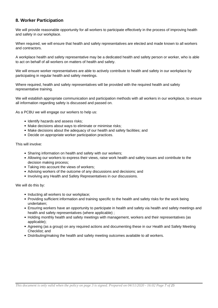# **8. Worker Participation**

We will provide reasonable opportunity for all workers to participate effectively in the process of improving health and safety in our workplace.

When required, we will ensure that health and safety representatives are elected and made known to all workers and contractors.

A workplace health and safety representative may be a dedicated health and safety person or worker, who is able to act on behalf of all workers on matters of health and safety.

We will ensure worker representatives are able to actively contribute to health and safety in our workplace by participating in regular health and safety meetings.

Where required, health and safety representatives will be provided with the required health and safety representative training.

We will establish appropriate communication and participation methods with all workers in our workplace, to ensure all information regarding safety is discussed and passed on.

As a PCBU we will engage our workers to help us:

- Identify hazards and assess risks;
- Make decisions about ways to eliminate or minimise risks;
- Make decisions about the adequacy of our health and safety facilities; and
- Decide on appropriate worker participation practices.

This will involve:

- Sharing information on health and safety with our workers;
- Allowing our workers to express their views, raise work health and safety issues and contribute to the decision making process;
- Taking into account the views of workers;
- Advising workers of the outcome of any discussions and decisions; and
- Involving any Health and Safety Representatives in our discussions.

We will do this by:

- Inducting all workers to our workplace;
- Providing sufficient information and training specific to the health and safety risks for the work being undertaken;
- Ensuring workers have an opportunity to participate in health and safety via health and safety meetings and health and safety representatives (where applicable) ;
- Holding monthly health and safety meetings with management, workers and their representatives (as applicable);
- Agreeing (as a group) on any required actions and documenting these in our Health and Safety Meeting Checklist; and
- Distributing/making the health and safety meeting outcomes available to all workers.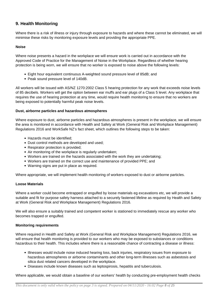# **9. Health Monitoring**

Where there is a risk of illness or injury through exposure to hazards and where these cannot be eliminated, we will minimise these risks by monitoring exposure levels and providing the appropriate PPE.

## **Noise**

Where noise presents a hazard in the workplace we will ensure work is carried out in accordance with the Approved Code of Practice for the Management of Noise in the Workplace. Regardless of whether hearing protection is being worn, we will ensure that no worker is exposed to noise above the following levels:

- Eight hour equivalent continuous A-weighted sound pressure level of 85dB; and
- Peak sound pressure level of 140dB.

All workers will be issued with AS/NZ 1270:2002 Class 5 hearing protection for any work that exceeds noise levels of 85 decibels. Workers will get the option between ear muffs and ear plugs of a Class 5 level. Any workplace that requires the use of hearing protection at any time, would require health monitoring to ensure that no workers are being exposed to potentially harmful peak noise levels.

## **Dust, airborne particles and hazardous atmospheres**

Where exposure to dust, airborne particles and hazardous atmospheres is present in the workplace, we will ensure the area is monitored in accordance with Health and Safety at Work (General Risk and Workplace Management) Regulations 2016 and WorkSafe NZ's fact sheet, which outlines the following steps to be taken:

- Hazards must be identified;
- Dust control methods are developed and used;
- Respirator protection is provided;
- Air monitoring of the workplace is regularly undertaken;
- Workers are trained on the hazards associated with the work they are undertaking;
- Workers are trained on the correct use and maintenance of provided PPE; and
- Warning signs are put in place as required.

Where appropriate, we will implement health monitoring of workers exposed to dust or airborne particles.

#### **Loose Materials**

Where a worker could become entrapped or engulfed by loose materials eg excavations etc, we will provide a suitable and fit for purpose safety harness attached to a securely fastened lifeline as required by Health and Safety at Work (General Risk and Workplace Management) Regulations 2016.

We will also ensure a suitably trained and competent worker is stationed to immediately rescue any worker who becomes trapped or engulfed.

#### **Monitoring requirements**

Where required in Health and Safety at Work (General Risk and Workplace Management) Regulations 2016, we will ensure that health monitoring is provided to our workers who may be exposed to substances or conditions hazardous to their health. This includes where there is a reasonable chance of contracting a disease or illness:

- Illnesses would include noise induced hearing loss, back injuries, respiratory issues from exposure to hazardous atmospheres or airborne contaminants and other long-term illnesses such as asbestosis and silica dust related cancers developed in the workplace.
- Diseases include known diseases such as leptospirosis, hepatitis and tuberculosis.

Where applicable, we would obtain a baseline of our workers' health by conducting pre-employment health checks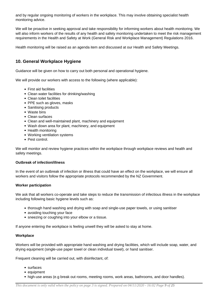and by regular ongoing monitoring of workers in the workplace. This may involve obtaining specialist health monitoring advice.

We will be proactive in seeking approval and take responsibility for informing workers about health monitoring. We will also inform workers of the results of any health and safety monitoring undertaken to meet the risk management requirements in the Health and Safety at Work (General Risk and Workplace Management) Regulations 2016.

Health monitoring will be raised as an agenda item and discussed at our Health and Safety Meetings.

# **10. General Workplace Hygiene**

Guidance will be given on how to carry out both personal and operational hygiene.

We will provide our workers with access to the following (where applicable):

- First aid facilities
- Clean water facilities for drinking/washing
- Clean toilet facilities
- PPE such as gloves, masks
- Sanitising products
- Waste bins
- Clean surfaces
- Clean and well-maintained plant, machinery and equipment
- Wash down area for plant, machinery, and equipment
- Health monitoring
- Working ventilation systems
- Pest control.

We will monitor and review hygiene practices within the workplace through workplace reviews and health and safety meetings.

## **Outbreak of infection/illness**

In the event of an outbreak of infection or illness that could have an effect on the workplace, we will ensure all workers and visitors follow the appropriate protocols recommended by the NZ Government.

## **Worker participation**

We ask that all workers co-operate and take steps to reduce the transmission of infectious illness in the workplace including following basic hygiene levels such as:

- thorough hand washing and drying with soap and single-use paper towels, or using sanitiser
- avoiding touching your face
- sneezing or coughing into your elbow or a tissue.

If anyone entering the workplace is feeling unwell they will be asked to stay at home.

#### **Workplace**

Workers will be provided with appropriate hand washing and drying facilities, which will include soap, water, and drying equipment (single-use paper towel or clean individual towel), or hand sanitiser.

Frequent cleaning will be carried out, with disinfectant, of:

- surfaces
- equipment
- high-use areas (e.g break out rooms, meeting rooms, work areas, bathrooms, and door handles).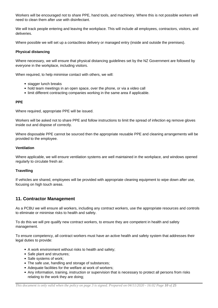Workers will be encouraged not to share PPE, hand tools, and machinery. Where this is not possible workers will need to clean them after use with disinfectant.

We will track people entering and leaving the workplace. This will include all employees, contractors, visitors, and deliveries.

Where possible we will set up a contactless delivery or managed entry (inside and outside the premises).

## **Physical distancing**

Where necessary, we will ensure that physical distancing guidelines set by the NZ Government are followed by everyone in the workplace, including visitors.

When required, to help minimise contact with others, we will:

- stagger lunch breaks
- hold team meetings in an open space, over the phone, or via a video call
- limit different contracting companies working in the same area if applicable.

## **PPE**

Where required, appropriate PPE will be issued.

Workers will be asked not to share PPE and follow instructions to limit the spread of infection eg remove gloves inside out and dispose of correctly.

Where disposable PPE cannot be sourced then the appropriate reusable PPE and cleaning arrangements will be provided to the employee.

## **Ventilation**

Where applicable, we will ensure ventilation systems are well maintained in the workplace, and windows opened regularly to circulate fresh air.

## **Travelling**

If vehicles are shared, employees will be provided with appropriate cleaning equipment to wipe down after use, focusing on high touch areas.

# **11. Contractor Management**

As a PCBU we will ensure all workers, including any contract workers, use the appropriate resources and controls to eliminate or minimise risks to health and safety.

To do this we will pre qualify new contract workers, to ensure they are competent in health and safety management.

To ensure competency, all contract workers must have an active health and safety system that addresses their legal duties to provide:

- A work environment without risks to health and safety;
- Safe plant and structures;
- Safe systems of work:
- The safe use, handling and storage of substances;
- Adequate facilities for the welfare at work of workers;
- Any information, training, instruction or supervision that is necessary to protect all persons from risks relating to the work they are doing;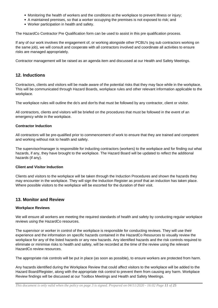- Monitoring the health of workers and the conditions at the workplace to prevent illness or injury;
- A maintained premises, so that a worker occupying the premises is not exposed to risk; and
- Worker participation in health and safety.

The HazardCo Contractor Pre Qualification form can be used to assist in this pre qualification process.

If any of our work involves the engagement of, or working alongside other PCBU's (eg sub contractors working on the same job), we will consult and cooperate with all contractors involved and coordinate all activities to ensure risks are managed appropriately.

Contractor management will be raised as an agenda item and discussed at our Health and Safety Meetings.

# **12. Inductions**

Contractors, clients and visitors will be made aware of the potential risks that they may face while in the workplace. This will be communicated through Hazard Boards, workplace rules and other relevant information applicable to the workplace.

The workplace rules will outline the do's and don'ts that must be followed by any contractor, client or visitor.

All contractors, clients and visitors will be briefed on the procedures that must be followed in the event of an emergency while in the workplace.

## **Contractor Induction**

All contractors will be pre-qualified prior to commencement of work to ensure that they are trained and competent and working without risk to health and safety.

The supervisor/manager is responsible for inducting contractors (workers) to the workplace and for finding out what hazards, if any, they have brought to the workplace. The Hazard Board will be updated to reflect the additional hazards (if any).

## **Client and Visitor Induction**

Clients and visitors to the workplace will be taken through the Induction Procedures and shown the hazards they may encounter in the workplace. They will sign the Induction Register as proof that an induction has taken place. Where possible visitors to the workplace will be escorted for the duration of their visit.

# **13. Monitor and Review**

## **Workplace Reviews**

We will ensure all workers are meeting the required standards of health and safety by conducting regular workplace reviews using the HazardCo resources.

The supervisor or worker in control of the workplace is responsible for conducting reviews. They will use their experience and the information on specific hazards contained in the HazardCo Resources to visually review the workplace for any of the listed hazards or any new hazards. Any identified hazards and the risk controls required to eliminate or minimise risks to health and safety, will be recorded at the time of the review using the relevant HazardCo review resources.

The appropriate risk controls will be put in place (as soon as possible), to ensure workers are protected from harm.

Any hazards identified during the Workplace Review that could affect visitors to the workplace will be added to the Hazard Board/Register, along with the appropriate risk control to prevent them from causing any harm. Workplace Review findings will be discussed at our Toolbox Meetings and Health and Safety Meetings.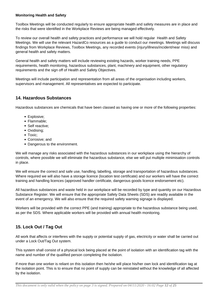## **Monitoring Health and Safety**

Toolbox Meetings will be conducted regularly to ensure appropriate health and safety measures are in place and the risks that were identified in the Workplace Reviews are being managed effectively.

To review our overall health and safety practices and performance we will hold regular Health and Safety Meetings. We will use the relevant HazardCo resources as a guide to conduct our meetings. Meetings will discuss findings from Workplace Reviews, Toolbox Meetings, any recorded events (injury/illness/incident/near miss) and general health and safety matters.

General health and safety matters will include reviewing existing hazards, worker training needs, PPE requirements, health monitoring, hazardous substances, plant, machinery and equipment, other regulatory requirements and the sign off of Health and Safety Objectives.

Meetings will include participation and representation from all areas of the organisation including workers, supervisors and management. All representatives are expected to participate.

# **14. Hazardous Substances**

Hazardous substances are chemicals that have been classed as having one or more of the following properties:

- Explosive;
- Flammable:
- Self reactive:
- Oxidising;
- Toxic:
- Corrosive; and
- Dangerous to the environment.

We will manage any risks associated with the hazardous substances in our workplace using the hierarchy of controls, where possible we will eliminate the hazardous substance, else we will put multiple minimisation controls in place.

We will ensure the correct and safe use, handling, labelling, storage and transportation of hazardous substances. Where required we will also have a storage licence (location test certificate) and our workers will have the correct training and handling licences (approved handler certificate, dangerous goods licence endorsement etc).

All hazardous substances and waste held in our workplace will be recorded by type and quantity on our Hazardous Substance Register. We will ensure that the appropriate Safety Data Sheets (SDS) are readily available in the event of an emergency. We will also ensure that the required safety warning signage is displayed.

Workers will be provided with the correct PPE (and training) appropriate to the hazardous substance being used, as per the SDS. Where applicable workers will be provided with annual health monitoring.

# **15. Lock Out / Tag Out**

All work that affects or interferes with the supply or potential supply of gas, electricity or water shall be carried out under a Lock Out/Tag Out system.

This system shall consist of a physical lock being placed at the point of isolation with an identification tag with the name and number of the qualified person completing the isolation.

If more than one worker is reliant on this isolation then he/she will place his/her own lock and identification tag at the isolation point. This is to ensure that no point of supply can be reinstated without the knowledge of all affected by the isolation.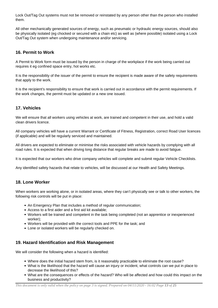Lock Out/Tag Out systems must not be removed or reinstated by any person other than the person who installed them.

All other mechanically generated sources of energy, such as pneumatic or hydraulic energy sources, should also be physically isolated (eg chocked or secured with a chain etc) as well as (where possible) isolated using a Lock Out/Tag Out system when undergoing maintenance and/or servicing.

# **16. Permit to Work**

A Permit to Work form must be issued by the person in charge of the workplace if the work being carried out requires it eg confined space entry, hot works etc.

It is the responsibility of the issuer of the permit to ensure the recipient is made aware of the safety requirements that apply to the work.

It is the recipient's responsibility to ensure that work is carried out in accordance with the permit requirements. If the work changes, the permit must be updated or a new one issued.

# **17. Vehicles**

We will ensure that all workers using vehicles at work, are trained and competent in their use, and hold a valid clean drivers licence.

All company vehicles will have a current Warrant or Certificate of Fitness, Registration, correct Road User licences (if applicable) and will be regularly serviced and maintained.

All drivers are expected to eliminate or minimise the risks associated with vehicle hazards by complying with all road rules. It is expected that when driving long distance that regular breaks are made to avoid fatigue.

It is expected that our workers who drive company vehicles will complete and submit regular Vehicle Checklists.

Any identified safety hazards that relate to vehicles, will be discussed at our Health and Safety Meetings.

# **18. Lone Worker**

When workers are working alone, or in isolated areas, where they can't physically see or talk to other workers, the following risk controls will be put in place:

- An Emergency Plan that includes a method of regular communication;
- Access to a first aider and a first aid kit available;
- Workers will be trained and competent in the task being completed (not an apprentice or inexperienced worker);
- Workers will be provided with the correct tools and PPE for the task; and
- Lone or isolated workers will be regularly checked on.

# **19. Hazard Identification and Risk Management**

We will consider the following when a hazard is identified:

- Where does the initial hazard stem from, is it reasonably practicable to eliminate the root cause?
- What is the likelihood that the hazard will cause an injury or incident, what controls can we put in place to decrease the likelihood of this?
- What are the consequences or effects of the hazard? Who will be affected and how could this impact on the business and productivity?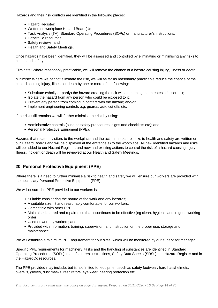Hazards and their risk controls are identified in the following places:

- Hazard Register:
- Written on workplace Hazard Board(s);
- Task Analysis (TA), Standard Operating Procedures (SOPs) or manufacturer's instructions;
- HazardCo resources;
- Safety reviews; and
- Health and Safety Meetings.

Once hazards have been identified, they will be assessed and controlled by eliminating or minimising any risks to health and safety:

Eliminate: Where reasonably practicable, we will remove the chance of a hazard causing injury, illness or death.

Minimise: Where we cannot eliminate the risk, we will as far as reasonably practicable reduce the chance of the hazard causing injury, illness or death by one or more of the following:

- Substitute (wholly or partly) the hazard creating the risk with something that creates a lesser risk;
- Isolate the hazard from any person who could be exposed to it;
- Prevent any person from coming in contact with the hazard; and/or
- Implement engineering controls e.g. guards, auto cut offs etc.

If the risk still remains we will further minimise the risk by using:

- Administrative controls (such as safety procedures, signs and checklists etc); and
- Personal Protective Equipment (PPE).

Hazards that relate to visitors to the workplace and the actions to control risks to health and safety are written on our Hazard Boards and will be displayed at the entrance(s) to the workplace. All new identified hazards and risks will be added to our Hazard Register, and new and existing actions to control the risk of a hazard causing injury, illness, incident or death will be reviewed at our Health and Safety Meetings.

# **20. Personal Protective Equipment (PPE)**

Where there is a need to further minimise a risk to health and safety we will ensure our workers are provided with the necessary Personal Protective Equipment (PPE).

We will ensure the PPE provided to our workers is:

- Suitable considering the nature of the work and any hazards:
- A suitable size, fit and reasonably comfortable for our workers;
- Compatible with other PPE;
- Maintained, stored and repaired so that it continues to be effective (eg clean, hygienic and in good working order);
- Used or worn by workers; and
- Provided with information, training, supervision, and instruction on the proper use, storage and maintenance.

We will establish a minimum PPE requirement for our sites, which will be monitored by our supervisor/manager.

Specific PPE requirements for machinery, tasks and the handling of substances are identified in Standard Operating Procedures (SOPs), manufacturers' instructions, Safety Data Sheets (SDSs), the Hazard Register and in the HazardCo resources.

The PPE provided may include, but is not limited to, equipment such as safety footwear, hard hats/helmets, overalls, gloves, dust masks, respirators, eye wear, hearing protection etc.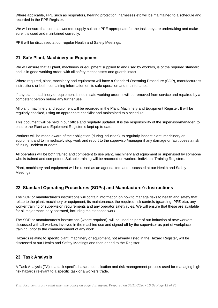Where applicable, PPE such as respirators, hearing protection, harnesses etc will be maintained to a schedule and recorded in the PPE Register.

We will ensure that contract workers supply suitable PPE appropriate for the task they are undertaking and make sure it is used and maintained correctly.

PPE will be discussed at our regular Health and Safety Meetings.

# **21. Safe Plant, Machinery or Equipment**

We will ensure that all plant, machinery or equipment supplied to and used by workers, is of the required standard and is in good working order, with all safety mechanisms and guards intact.

Where required, plant, machinery and equipment will have a Standard Operating Procedure (SOP), manufacturer's instructions or both, containing information on its safe operation and maintenance.

If any plant, machinery or equipment is not in safe working order, it will be removed from service and repaired by a competent person before any further use.

All plant, machinery and equipment will be recorded in the Plant, Machinery and Equipment Register. It will be regularly checked, using an appropriate checklist and maintained to a schedule.

This document will be held in our office and regularly updated. It is the responsibility of the supervisor/manager, to ensure the Plant and Equipment Register is kept up to date.

Workers will be made aware of their obligation (during induction), to regularly inspect plant, machinery or equipment and to immediately stop work and report to the supervisor/manager if any damage or fault poses a risk of injury, incident or death.

All operators will be both trained and competent to use plant, machinery and equipment or supervised by someone who is trained and competent. Suitable training will be recorded on workers individual Training Registers.

Plant, machinery and equipment will be raised as an agenda item and discussed at our Health and Safety Meetings.

# **22. Standard Operating Procedures (SOPs) and Manufacturer's Instructions**

The SOP or manufacturer's instructions will contain information on how to manage risks to health and safety that relate to the plant, machinery or equipment, its maintenance, the required risk controls (guarding, PPE etc), any worker training or supervision requirements and any operator safety rules. We will ensure that these are available for all major machinery operated, including maintenance work.

The SOP or manufacturer's instructions (where required), will be used as part of our induction of new workers, discussed with all workers involved in the machine use and signed off by the supervisor as part of workplace training, prior to the commencement of any work.

Hazards relating to specific plant, machinery or equipment, not already listed in the Hazard Register, will be discussed at our Health and Safety Meetings and then added to the Register

# **23. Task Analysis**

A Task Analysis (TA) is a task specific hazard identification and risk management process used for managing high risk hazards relevant to a specific task or a workers trade.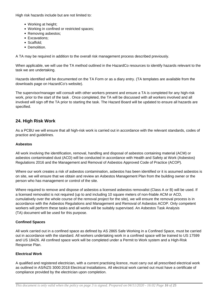High risk hazards include but are not limited to:

- Working at height:
- Working in confined or restricted spaces;
- Removing asbestos;
- Excavations;
- Scaffold:
- Demolition.

A TA may be required in addition to the overall risk management process described previously.

When applicable, we will use the TA method outlined in the HazardCo resources to identify hazards relevant to the task we are undertaking.

Hazards identified will be documented on the TA Form or as a diary entry. (TA templates are available from the downloads page on HazardCo's website).

The supervisor/manager will consult with other workers present and ensure a TA is completed for any high-risk work, prior to the start of the task . Once completed, the TA will be discussed with all workers involved and all involved will sign off the TA prior to starting the task. The Hazard Board will be updated to ensure all hazards are specified.

# **24. High Risk Work**

As a PCBU we will ensure that all high-risk work is carried out in accordance with the relevant standards, codes of practice and guidelines.

## **Asbestos**

All work involving the identification, removal, handling and disposal of asbestos containing material (ACM) or asbestos contaminated dust (ACD) will be conducted in accordance with Health and Safety at Work (Asbestos) Regulations 2016 and the Management and Removal of Asbestos Approved Code of Practice (ACOP).

Where our work creates a risk of asbestos contamination, asbestos has been identified or it is assumed asbestos is on site, we will ensure that we obtain and review an Asbestos Management Plan from the building owner or the person who has management or control of the site.

Where required to remove and dispose of asbestos a licensed asbestos removalist (Class A or B) will be used. If a licensed removalist is not required (up to and including 10 square meters of non-friable ACM or ACD, cumulatively over the whole course of the removal project for the site), we will ensure the removal process is in accordance with the Asbestos Regulations and Management and Removal of Asbestos ACOP. Only competent workers will perform these tasks and all works will be suitably supervised. An Asbestos Task Analysis (TA) document will be used for this purpose.

## **Confined Spaces**

All work carried out in a confined space as defined by AS 2865 Safe Working in a Confined Space, must be carried out in accordance with the standard. All workers undertaking work in a confined space will be trained to US 17599 and US 18426. All confined space work will be completed under a Permit to Work system and a High-Risk Response Plan.

## **Electrical Work**

A qualified and registered electrician, with a current practising licence, must carry out all prescribed electrical work as outlined in AS/NZS 3000:2018 Electrical Installations. All electrical work carried out must have a certificate of compliance provided by the electrician upon completion.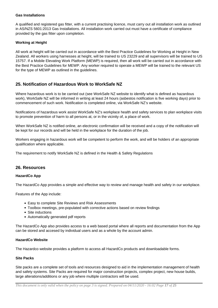## **Gas Installations**

A qualified and registered gas fitter, with a current practising licence, must carry out all installation work as outlined in AS/NZS 5601:2013 Gas Installations. All installation work carried out must have a certificate of compliance provided by the gas fitter upon completion.

## **Working at Height**

All work at height will be carried out in accordance with the Best Practice Guidelines for Working at Height in New Zealand. All workers using harnesses at height, will be trained to US 23229 and all supervisors will be trained to US 15757. If a Mobile Elevating Work Platform (MEWP) is required, then all work will be carried out in accordance with the Best Practice Guidelines for MEWP. Any worker required to operate a MEWP will be trained to the relevant US for the type of MEWP as outlined in the guidelines.

# **25. Notification of Hazardous Work to WorkSafe NZ**

Where hazardous work is to be carried out (see WorkSafe NZ website to identify what is defined as hazardous work), WorkSafe NZ will be informed in writing at least 24 hours (asbestos notification is five working days) prior to commencement of such work. Notification is completed online, via WorkSafe NZ's website.

Notifications of hazardous work assist WorkSafe NZ's workplace health and safety services to plan workplace visits to promote prevention of harm to all persons at, or in the vicinity of, a place of work.

When WorkSafe NZ is notified online, an electronic confirmation will be received and a copy of the notification will be kept for our records and will be held in the workplace for the duration of the job.

Workers engaging in hazardous work will be competent to perform the work, and will be holders of an appropriate qualification where applicable.

The requirement to notify WorkSafe NZ is defined in the Health & Safety Regulations

## **26. Resources**

## **HazardCo App**

The HazardCo App provides a simple and effective way to review and manage health and safety in our workplace.

Features of the App include:

- Easy to complete Site Reviews and Risk Assessments
- Toolbox meetings, pre-populated with corrective actions based on review findings
- Site inductions
- Automatically generated pdf reports

The HazardCo App also provides access to a web based portal where all reports and documentation from the App can be stored and accesed by individual users and as a whole by the account admin.

## **HazardCo Website**

The Hazardco website provides a platform to access all HazardCo products and downloadable forms.

## **Site Packs**

Site packs are a complete set of tools and resources designed to aid in the implementation management of health and safety systems. Site Packs are required for major construction projects, complex project, new house builds, large alterations/additions or any job where multiple contractors will be used.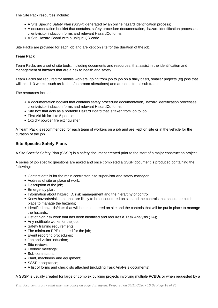The Site Pack resources include:

- A Site Specific Safety Plan (SSSP) generated by an online hazard identification process;
- A documentation booklet that contains, safety procedure documentation, hazard identification processes, client/visitor induction forms and relevant HazardCo forms.
- A Site Hazard Board with a unique QR code.

Site Packs are provided for each job and are kept on site for the duration of the job.

## **Team Pack**

Team Packs are a set of site tools, including documents and resources, that assist in the identification and management of hazards that are a risk to health and safety.

Team Packs are required for mobile workers, going from job to job on a daily basis, smaller projects (eg jobs that will take 1-3 weeks, such as kitchen/bathroom alterations) and are ideal for all sub trades.

The resources include:

- A documentation booklet that contains safety procedure documentation, hazard identification processes, client/visitor induction forms and relevant HazardCo forms;
- Site box that acts as a portable Hazard Board that is taken from job to job;
- First Aid kit for 1 to 5 people;
- 1kg dry powder fire extinguisher.

A Team Pack is recommended for each team of workers on a job and are kept on site or in the vehicle for the duration of the job.

## **Site Specific Safety Plans**

A Site Specific Safety Plan (SSSP) is a safety document created prior to the start of a major construction project.

A series of job specific questions are asked and once completed a SSSP document is produced containing the following:

- Contact details for the main contractor, site supervisor and safety manager;
- Address of site or place of work;
- Description of the job;
- Emergency plan;
- Information about hazard ID, risk management and the hierarchy of control;
- Know hazards/risks and that are likely to be encountered on site and the controls that should be put in place to manage the hazards;
- Identified hazards/risks that will be encountered on site and the controls that will be put in place to manage the hazards;
- List of high risk work that has been identified and requires a Task Analysis (TA);
- Any notifiable works for the job;
- Safety training requirements;
- The minimum PPE required for the job;
- Event reporting procedures;
- Job and visitor induction;
- Site reviews:
- Toolbox meetings;
- Sub-contractors;
- Plant, machinery and equipment;
- SSSP acceptance:
- A list of forms and checklists attached (including Task Analysis documents).

A SSSP is usually created for large or complex building projects involving multiple PCBUs or when requested by a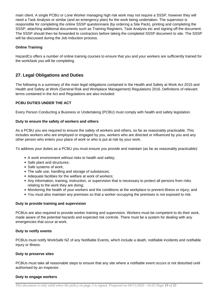main client. A single PCBU or Lone Worker managing high risk work may not require a SSSP, however they will need a Task Analysis or similar (and an emergency plan) for the work being undertaken. The supervisor is responsible for completing the online SSSP questionnaire (by ordering a Site Pack), printing and completing the SSSP, attaching additional documents such as Training Registers, Task Analysis etc and signing off the document. The SSSP should then be forwarded to contractors before taking the completed SSSP document to site. The SSSP will be discussed during the Job Induction process.

## **Online Training**

HazardCo offers a number of online training courses to ensure that you and your workers are sufficiently trained for the work/task you will be completing.

# **27. Legal Obligations and Duties**

The following is a summary of the main legal obligations contained in the Health and Safety at Work Act 2015 and Health and Safety at Work (General Risk and Workplace Management) Regulations 2016. Definitions of relevant terms contained in the Act and Regulations are also included:

## **PCBU DUTIES UNDER THE ACT**

Every Person Conducting a Business or Undertaking (PCBU) must comply with health and safety legislation.

## **Duty to ensure the safety of workers and others**

As a PCBU you are required to ensure the safety of workers and others, so far as reasonably practicable. This includes workers who are employed or engaged by you, workers who are directed or influenced by you and any other person who enters your place of work or who is put at risk by your work.

To address your duties as a PCBU you must ensure you provide and maintain (as far as reasonably practicable):

- A work environment without risks to health and safety;
- Safe plant and structures;
- Safe systems of work;
- The safe use, handling and storage of substances;
- Adequate facilities for the welfare at work of workers;
- Any information, training, instruction, or supervision that is necessary to protect all persons from risks relating to the work they are doing;
- Monitoring the health of your workers and the conditions at the workplace to prevent illness or injury; and
- You must also maintain any premises so that a worker occupying the premises is not exposed to risk.

## **Duty to provide training and supervision**

PCBUs are also required to provide worker training and supervision. Workers must be competent to do their work, made aware of the potential hazards and expected risk controls. There must be a system for dealing with any emergencies that occur at work.

## **Duty to notify events**

PCBUs must notify WorkSafe NZ of any Notifiable Events, which include a death, notifiable incidents and notifiable injury or illness.

## **Duty to preserve sites**

PCBUs must take all reasonable steps to ensure that any site where a notifiable event occurs is not disturbed until authorised by an inspector.

## **Duty to engage workers**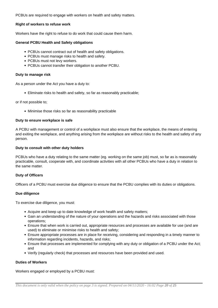PCBUs are required to engage with workers on health and safety matters.

## **Right of workers to refuse work**

Workers have the right to refuse to do work that could cause them harm.

## **General PCBU Health and Safety obligations**

- PCBUs cannot contract out of health and safety obligations.
- PCBUs must manage risks to health and safety.
- PCBUs must not levy workers.
- PCBUs cannot transfer their obligation to another PCBU.

#### **Duty to manage risk**

As a person under the Act you have a duty to:

Eliminate risks to health and safety, so far as reasonably practicable;

or if not possible to;

Minimise those risks so far as reasonability practicable

## **Duty to ensure workplace is safe**

A PCBU with management or control of a workplace must also ensure that the workplace, the means of entering and exiting the workplace, and anything arising from the workplace are without risks to the health and safety of any person.

## **Duty to consult with other duty holders**

PCBUs who have a duty relating to the same matter (eg. working on the same job) must, so far as is reasonably practicable, consult, cooperate with, and coordinate activities with all other PCBUs who have a duty in relation to the same matter.

## **Duty of Officers**

Officers of a PCBU must exercise due diligence to ensure that the PCBU complies with its duties or obligations.

#### **Due diligence**

To exercise due diligence, you must:

- Acquire and keep up to date knowledge of work health and safety matters;
- Gain an understanding of the nature of your operations and the hazards and risks associated with those operations;
- Ensure that when work is carried out, appropriate resources and processes are available for use (and are used) to eliminate or minimise risks to health and safety;
- Ensure appropriate processes are in place for receiving, considering and responding in a timely manner to information regarding incidents, hazards, and risks;
- Ensure that processes are implemented for complying with any duty or obligation of a PCBU under the Act; and
- Verify (regularly check) that processes and resources have been provided and used.

## **Duties of Workers**

Workers engaged or employed by a PCBU must: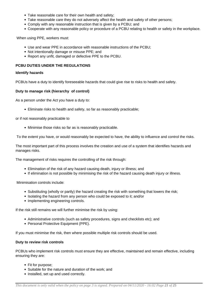- Take reasonable care for their own health and safety;
- Take reasonable care they do not adversely affect the health and safety of other persons;
- Comply with any reasonable instruction that is given by a PCBU; and
- Cooperate with any reasonable policy or procedure of a PCBU relating to health or safety in the workplace.

When using PPE, workers must:

- Use and wear PPE in accordance with reasonable instructions of the PCBU;
- Not intentionally damage or misuse PPE; and
- Report any unfit, damaged or defective PPE to the PCBU.

## **PCBU DUTIES UNDER THE REGULATIONS**

## **Identify hazards**

PCBUs have a duty to identify foreseeable hazards that could give rise to risks to health and safety.

## **Duty to manage risk (hierarchy of control)**

As a person under the Act you have a duty to:

Eliminate risks to health and safety, so far as reasonably practicable;

#### or if not reasonably practicable to

Minimise those risks so far as is reasonably practicable.

To the extent you have, or would reasonably be expected to have, the ability to influence and control the risks.

The most important part of this process involves the creation and use of a system that identifies hazards and manages risks.

The management of risks requires the controlling of the risk through:

- Elimination of the risk of any hazard causing death, injury or illness; and
- If elimination is not possible by minimising the risk of the hazard causing death injury or illness.

Minimisation controls include:

- Substituting (wholly or partly) the hazard creating the risk with something that lowers the risk;
- Isolating the hazard from any person who could be exposed to it; and/or
- Implementing engineering controls.

If the risk still remains we will further minimise the risk by using:

- Administrative controls (such as safety procedures, signs and checklists etc); and
- Personal Protective Equipment (PPE).

If you must minimise the risk, then where possible multiple risk controls should be used.

## **Duty to review risk controls**

PCBUs who implement risk controls must ensure they are effective, maintained and remain effective, including ensuring they are:

- Fit for purpose:
- Suitable for the nature and duration of the work; and
- Installed, set up and used correctly.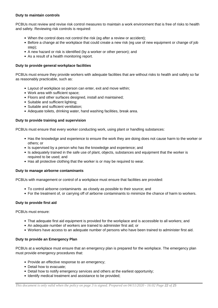## **Duty to maintain controls**

PCBUs must review and revise risk control measures to maintain a work environment that is free of risks to health and safety. Reviewing risk controls is required:

- When the control does not control the risk (eg after a review or accident);
- Before a change at the workplace that could create a new risk (eg use of new equipment or change of job step);
- A new hazard or risk is identified (by a worker or other person); and
- As a result of a health monitoring report.

## **Duty to provide general workplace facilities**

PCBUs must ensure they provide workers with adequate facilities that are without risks to health and safety so far as reasonably practicable, such as:

- Layout of workplace so person can enter, exit and move within;
- Work area with sufficient space;
- Floors and other surfaces designed, install and maintained;
- Suitable and sufficient lighting;
- Suitable and sufficient ventilation;
- Adequate toilets, drinking water, hand washing facilities, break area.

## **Duty to provide training and supervision**

PCBUs must ensure that every worker conducting work, using plant or handling substances:

- Has the knowledge and experience to ensure the work they are doing does not cause harm to the worker or others; or
- Is supervised by a person who has the knowledge and experience; and
- Is adequately trained in the safe use of plant, objects, substances and equipment that the worker is required to be used; and
- Has all protective clothing that the worker is or may be required to wear.

## **Duty to manage airborne contaminants**

PCBUs with management or control of a workplace must ensure that facilities are provided:

- To control airborne contaminants as closely as possible to their source; and
- For the treatment of, or carrying off of airborne contaminants to minimize the chance of harm to workers.

## **Duty to provide first aid**

PCBUs must ensure:

- That adequate first aid equipment is provided for the workplace and is accessible to all workers; and
- An adequate number of workers are trained to administer first aid; or
- Workers have access to an adequate number of persons who have been trained to administer first aid.

## **Duty to provide an Emergency Plan**

PCBUs at a workplace must ensure that an emergency plan is prepared for the workplace. The emergency plan must provide emergency procedures that:

- Provide an effective response to an emergency;
- Detail how to evacuate:
- Detail how to notify emergency services and others at the earliest opportunity;
- Identify medical treatment and assistance to be provided;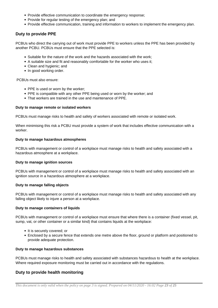- Provide effective communication to coordinate the emergency response;
- Provide for regular testing of the emergency plan; and
- Provide effective communication, training and information to workers to implement the emergency plan.

## **Duty to provide PPE**

PCBUs who direct the carrying out of work must provide PPE to workers unless the PPE has been provided by another PCBU. PCBUs must ensure that the PPE selected is:

- Suitable for the nature of the work and the hazards associated with the work;
- A suitable size and fit and reasonably comfortable for the worker who uses it;
- Clean and hygienic; and
- In good working order.

PCBUs must also ensure:

- PPE is used or worn by the worker:
- PPE is compatible with any other PPE being used or worn by the worker; and
- That workers are trained in the use and maintenance of PPE.

## **Duty to manage remote or isolated workers**

PCBUs must manage risks to health and safety of workers associated with remote or isolated work.

When minimising this risk a PCBU must provide a system of work that includes effective communication with a worker.

## **Duty to manage hazardous atmospheres**

PCBUs with management or control of a workplace must manage risks to health and safety associated with a hazardous atmosphere at a workplace.

#### **Duty to manage ignition sources**

PCBUs with management or control of a workplace must manage risks to health and safety associated with an ignition source in a hazardous atmosphere at a workplace.

#### **Duty to manage falling objects**

PCBUs with management or control of a workplace must manage risks to health and safety associated with any falling object likely to injure a person at a workplace.

#### **Duty to manage containers of liquids**

PCBUs with management or control of a workplace must ensure that where there is a container (fixed vessel, pit, sump, vat, or other container or a similar kind) that contains liquids at the workplace:

- It is securely covered; or
- Enclosed by a secure fence that extends one metre above the floor, ground or platform and positioned to provide adequate protection.

#### **Duty to manage hazardous substances**

PCBUs must manage risks to health and safety associated with substances hazardous to health at the workplace. Where required exposure monitoring must be carried out in accordance with the regulations.

## **Duty to provide health monitoring**

*This document is only valid when the policy on page 3 is signed. Prepared on 04/11/2020 - 16:02 Page 23 of 25*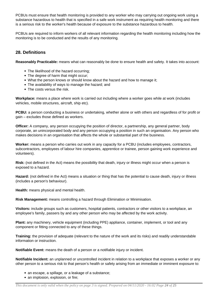PCBUs must ensure that health monitoring is provided to any worker who may carrying out ongoing work using a substance hazardous to health that is specified in a safe work instrument as requiring health monitoring and there is a serious risk to the worker's health because of exposure to the substance hazardous to health.

PCBUs are required to inform workers of all relevant information regarding the health monitoring including how the monitoring is to be conducted and the results of any monitoring.

# **28. Definitions**

**Reasonably Practicable:** means what can reasonably be done to ensure health and safety. It takes into account:

- The likelihood of the hazard occurring;
- The degree of harm that might occur:
- What the person knows or should know about the hazard and how to manage it;
- The availability of ways to manage the hazard; and
- The costs versus the risk.

**Workplace:** means a place where work is carried out including where a worker goes while at work (includes vehicles, mobile structures, aircraft, ship etc).

**PCBU:** a person conducting a business or undertaking, whether alone or with others and regardless of for profit or gain – excludes those defined as workers.

**Officer:** A company, any person occupying the position of director, a partnership, any general partner, body corporate, an unincorporated body and any person occupying a position in such an organisation. Any person who makes decisions in an organisation that affects the whole or substantial part of the business.

**Worker:** means a person who carries out work in any capacity for a PCBU (includes employees, contractors, subcontractors, employees of labour hire companies, apprentice or trainee, person gaining work experience and volunteers).

**Risk:** (not defined in the Act) means the possibility that death, injury or illness might occur when a person is exposed to a hazard.

**Hazard:** (not defined in the Act) means a situation or thing that has the potential to cause death, injury or illness (includes a person's behaviour).

**Health:** means physical and mental health.

**Risk Management:** means controlling a hazard through Elimination or Minimisation.

**Visitors:** include groups such as customers, hospital patients, contractors or other visitors to a workplace, an employee's family, passers by and any other person who may be affected by the work activity.

**Plant:** any machinery, vehicle equipment (including PPE) appliance, container, implement, or tool and any component or fitting connected to any of these things.

**Training:** the provision of adequate (relevant to the nature of the work and its risks) and readily understandable information or instruction.

**Notifiable Event:** means the death of a person or a notifiable injury or incident.

**Notifiable Incident:** an unplanned or uncontrolled incident in relation to a workplace that exposes a worker or any other person to a serious risk to that person's health or safety arising from an immediate or imminent exposure to:

- an escape, a spillage, or a leakage of a substance;
- an implosion, explosion, or fire: